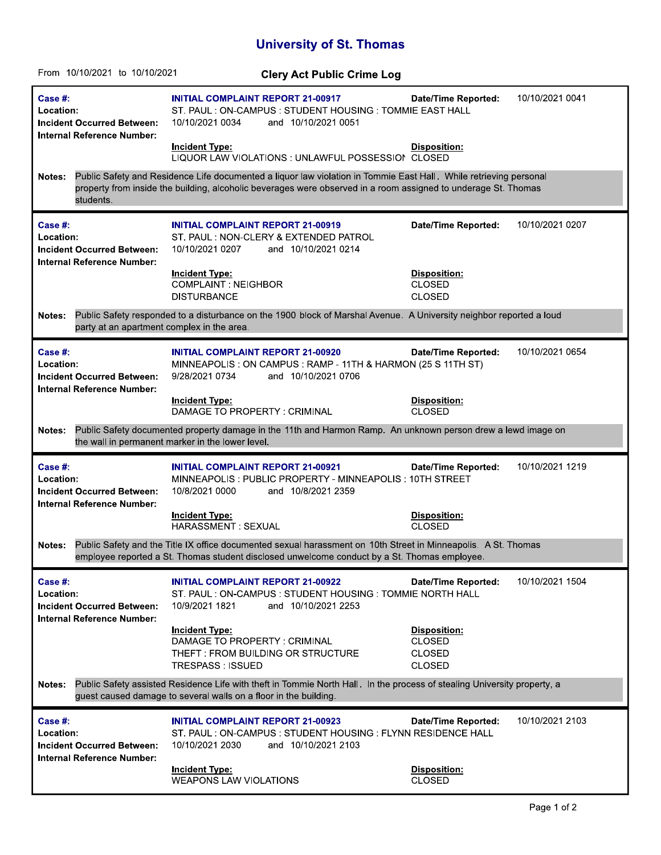## **University of St. Thomas**

| From 10/10/2021 to 10/10/2021                                                                                                                                                                                                                                     | <b>Clery Act Public Crime Log</b>                                                                                                                |                                                                 |                 |  |
|-------------------------------------------------------------------------------------------------------------------------------------------------------------------------------------------------------------------------------------------------------------------|--------------------------------------------------------------------------------------------------------------------------------------------------|-----------------------------------------------------------------|-----------------|--|
| Case #:<br>Location:<br><b>Incident Occurred Between:</b><br>Internal Reference Number:                                                                                                                                                                           | <b>INITIAL COMPLAINT REPORT 21-00917</b><br>ST. PAUL: ON-CAMPUS: STUDENT HOUSING: TOMMIE EAST HALL<br>10/10/2021 0034<br>and 10/10/2021 0051     | <b>Date/Time Reported:</b>                                      | 10/10/2021 0041 |  |
|                                                                                                                                                                                                                                                                   | Incident Type:<br>LIQUOR LAW VIOLATIONS : UNLAWFUL POSSESSION CLOSED                                                                             | <b>Disposition:</b>                                             |                 |  |
| Public Safety and Residence Life documented a liquor law violation in Tommie East Hall. While retrieving personal<br><b>Notes:</b><br>property from inside the building, alcoholic beverages were observed in a room assigned to underage St. Thomas<br>students. |                                                                                                                                                  |                                                                 |                 |  |
| Case  #:<br>Location:<br><b>Incident Occurred Between:</b><br><b>Internal Reference Number:</b>                                                                                                                                                                   | <b>INITIAL COMPLAINT REPORT 21-00919</b><br>ST. PAUL: NON-CLERY & EXTENDED PATROL<br>10/10/2021 0207<br>and 10/10/2021 0214                      | <b>Date/Time Reported:</b>                                      | 10/10/2021 0207 |  |
|                                                                                                                                                                                                                                                                   | <b>Incident Type:</b><br><b>COMPLAINT: NEIGHBOR</b><br><b>DISTURBANCE</b>                                                                        | <b>Disposition:</b><br><b>CLOSED</b><br><b>CLOSED</b>           |                 |  |
| Public Safety responded to a disturbance on the 1900 block of Marshal Avenue. A University neighbor reported a loud<br>Notes:<br>party at an apartment complex in the area.                                                                                       |                                                                                                                                                  |                                                                 |                 |  |
| Case #:<br>Location:<br><b>Incident Occurred Between:</b><br>Internal Reference Number:                                                                                                                                                                           | <b>INITIAL COMPLAINT REPORT 21-00920</b><br>MINNEAPOLIS: ON CAMPUS: RAMP - 11TH & HARMON (25 S 11TH ST)<br>9/28/2021 0734<br>and 10/10/2021 0706 | <b>Date/Time Reported:</b>                                      | 10/10/2021 0654 |  |
|                                                                                                                                                                                                                                                                   | Incident Type:<br>DAMAGE TO PROPERTY: CRIMINAL                                                                                                   | Disposition:<br><b>CLOSED</b>                                   |                 |  |
| Public Safety documented property damage in the 11th and Harmon Ramp. An unknown person drew a lewd image on<br>Notes:<br>the wall in permanent marker in the lower level.                                                                                        |                                                                                                                                                  |                                                                 |                 |  |
| Case #:<br>Location:<br><b>Incident Occurred Between:</b><br>Internal Reference Number:                                                                                                                                                                           | <b>INITIAL COMPLAINT REPORT 21-00921</b><br>MINNEAPOLIS: PUBLIC PROPERTY - MINNEAPOLIS: 10TH STREET<br>10/8/2021 0000<br>and 10/8/2021 2359      | <b>Date/Time Reported:</b>                                      | 10/10/2021 1219 |  |
|                                                                                                                                                                                                                                                                   | <b>Incident Type:</b><br>HARASSMENT: SEXUAL                                                                                                      | Disposition:<br><b>CLOSED</b>                                   |                 |  |
| Public Safety and the Title IX office documented sexual harassment on 10th Street in Minneapolis. A St. Thomas<br>Notes:<br>employee reported a St. Thomas student disclosed unwelcome conduct by a St. Thomas employee.                                          |                                                                                                                                                  |                                                                 |                 |  |
| Case #:<br>Location:<br><b>Incident Occurred Between:</b><br>Internal Reference Number:                                                                                                                                                                           | <b>INITIAL COMPLAINT REPORT 21-00922</b><br>ST. PAUL: ON-CAMPUS: STUDENT HOUSING: TOMMIE NORTH HALL<br>10/9/2021 1821<br>and 10/10/2021 2253     | <b>Date/Time Reported:</b>                                      | 10/10/2021 1504 |  |
|                                                                                                                                                                                                                                                                   | <b>Incident Type:</b><br>DAMAGE TO PROPERTY: CRIMINAL<br>THEFT: FROM BUILDING OR STRUCTURE<br>TRESPASS : ISSUED                                  | Disposition:<br><b>CLOSED</b><br><b>CLOSED</b><br><b>CLOSED</b> |                 |  |
| Public Safety assisted Residence Life with theft in Tommie North Hall. In the process of stealing University property, a<br>Notes:<br>guest caused damage to several walls on a floor in the building.                                                            |                                                                                                                                                  |                                                                 |                 |  |
| Case #:<br>Location:<br><b>Incident Occurred Between:</b><br>Internal Reference Number:                                                                                                                                                                           | <b>INITIAL COMPLAINT REPORT 21-00923</b><br>ST. PAUL: ON-CAMPUS: STUDENT HOUSING: FLYNN RESIDENCE HALL<br>10/10/2021 2030<br>and 10/10/2021 2103 | <b>Date/Time Reported:</b>                                      | 10/10/2021 2103 |  |
|                                                                                                                                                                                                                                                                   | <b>Incident Type:</b><br><b>WEAPONS LAW VIOLATIONS</b>                                                                                           | Disposition:<br><b>CLOSED</b>                                   |                 |  |